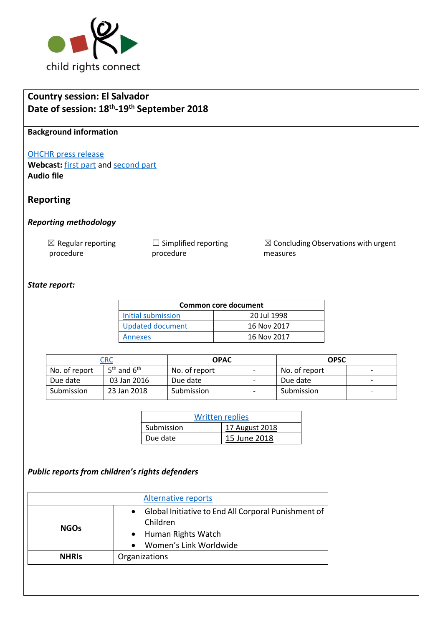

# **Country session: El Salvador Date of session: 18th -19th September 2018**

### **Background information**

#### [OHCHR press release](https://www.unog.ch/unog/website/news_media.nsf/(httpNewsByYear_en)/C713D80C0467A4C2C125830D0043A4F6?OpenDocument)

Webcast: **[first part](http://webtv.un.org/search/consideration-of-el-salvador-2314th-meeting-79th-session-committee-on-the-rights-of-the-child/5836837319001/?term=crc&sort=date&page=2)** and **second part Audio file**

## **Reporting**

#### *Reporting methodology*

| $\boxtimes$ Regular reporting | $\Box$ Simplified reporting |
|-------------------------------|-----------------------------|
| procedure                     | procedure                   |

 $\boxtimes$  Concluding Observations with urgent measures

### *State report:*

| <b>Common core document</b> |             |  |
|-----------------------------|-------------|--|
| Initial submission          | 20 Jul 1998 |  |
| Updated document            | 16 Nov 2017 |  |
| Annexes                     | 16 Nov 2017 |  |

|               | <b>CRC</b>      | <b>OPAC</b>   |                          | OPSC          |                          |
|---------------|-----------------|---------------|--------------------------|---------------|--------------------------|
| No. of report | $5th$ and $6th$ | No. of report | $\overline{\phantom{a}}$ | No. of report | $\overline{\phantom{0}}$ |
| Due date      | 03 Jan 2016     | Due date      | $\overline{\phantom{a}}$ | Due date      |                          |
| Submission    | 23 Jan 2018     | Submission    | $\overline{\phantom{a}}$ | Submission    | -                        |

| <b>Written replies</b> |                |  |
|------------------------|----------------|--|
| Submission             | 17 August 2018 |  |
| Due date               | 15 June 2018   |  |

## *Public reports from children's rights defenders*

| Global Initiative to End All Corporal Punishment of<br>$\bullet$<br>Children |  |
|------------------------------------------------------------------------------|--|
| <b>NGOs</b><br>Human Rights Watch<br>Women's Link Worldwide<br>$\bullet$     |  |
| Organizations<br><b>NHRIS</b>                                                |  |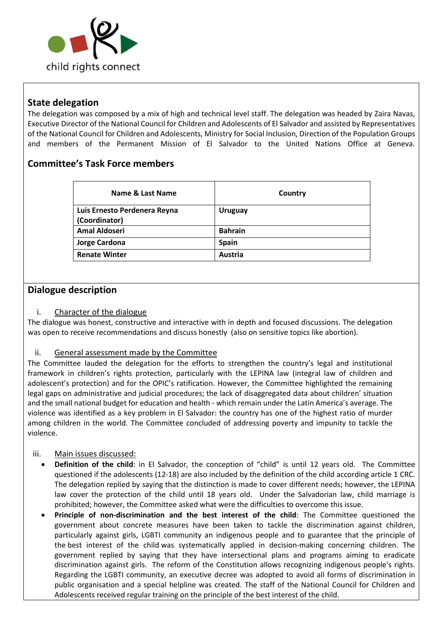

## **State delegation**

The delegation was composed by a mix of high and technical level staff. The delegation was headed by Zaira Navas, Executive Director of the National Council for Children and Adolescents of El Salvador and assisted by Representatives of the National Council for Children and Adolescents, Ministry for Social Inclusion, Direction of the Population Groups and members of the Permanent Mission of El Salvador to the United Nations Office at Geneva.

## **Committee's Task Force members**

| Name & Last Name             | Country        |
|------------------------------|----------------|
| Luis Ernesto Perdenera Reyna | <b>Uruguay</b> |
| (Coordinator)                |                |
| <b>Amal Aldoseri</b>         | <b>Bahrain</b> |
| Jorge Cardona                | <b>Spain</b>   |
| <b>Renate Winter</b>         | Austria        |

## **Dialogue description**

### i. Character of the dialogue

The dialogue was honest, constructive and interactive with in depth and focused discussions. The delegation was open to receive recommendations and discuss honestly (also on sensitive topics like abortion).

### ii. General assessment made by the Committee

The Committee lauded the delegation for the efforts to strengthen the country's legal and institutional framework in children's rights protection, particularly with the LEPINA law (integral law of children and adolescent's protection) and for the OPIC's ratification. However, the Committee highlighted the remaining legal gaps on administrative and judicial procedures; the lack of disaggregated data about children' situation and the small national budget for education and health - which remain under the Latin America's average. The violence was identified as a key problem in El Salvador: the country has one of the highest ratio of murder among children in the world. The Committee concluded of addressing poverty and impunity to tackle the violence.

### iii. Main issues discussed:

- **Definition of the child**: in El Salvador, the conception of "child" is until 12 years old. The Committee questioned if the adolescents (12-18) are also included by the definition of the child according article 1 CRC. The delegation replied by saying that the distinction is made to cover different needs; however, the LEPINA law cover the protection of the child until 18 years old. Under the Salvadorian law, child marriage is prohibited; however, the Committee asked what were the difficulties to overcome this issue.
- **Principle of non-discrimination and the best interest of the child**: The Committee questioned the government about concrete measures have been taken to tackle the discrimination against children, particularly against girls, LGBTI community an indigenous people and to guarantee that the principle of the best interest of the child was systematically applied in decision-making concerning children. The government replied by saying that they have intersectional plans and programs aiming to eradicate discrimination against girls. The reform of the Constitution allows recognizing indigenous people's rights. Regarding the LGBTI community, an executive decree was adopted to avoid all forms of discrimination in public organisation and a special helpline was created. The staff of the National Council for Children and Adolescents received regular training on the principle of the best interest of the child.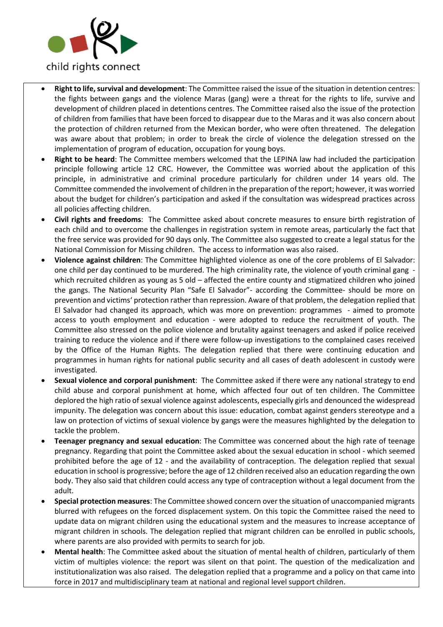

- **Right to life, survival and development**: The Committee raised the issue of the situation in detention centres: the fights between gangs and the violence Maras (gang) were a threat for the rights to life, survive and development of children placed in detentions centres. The Committee raised also the issue of the protection of children from families that have been forced to disappear due to the Maras and it was also concern about the protection of children returned from the Mexican border, who were often threatened. The delegation was aware about that problem; in order to break the circle of violence the delegation stressed on the implementation of program of education, occupation for young boys.
- **Right to be heard**: The Committee members welcomed that the LEPINA law had included the participation principle following article 12 CRC. However, the Committee was worried about the application of this principle, in administrative and criminal procedure particularly for children under 14 years old. The Committee commended the involvement of children in the preparation of the report; however, it was worried about the budget for children's participation and asked if the consultation was widespread practices across all policies affecting children.
- **Civil rights and freedoms**: The Committee asked about concrete measures to ensure birth registration of each child and to overcome the challenges in registration system in remote areas, particularly the fact that the free service was provided for 90 days only. The Committee also suggested to create a legal status for the National Commission for Missing children. The access to information was also raised.
- **Violence against children**: The Committee highlighted violence as one of the core problems of El Salvador: one child per day continued to be murdered. The high criminality rate, the violence of youth criminal gang which recruited children as young as 5 old – affected the entire county and stigmatized children who joined the gangs. The National Security Plan "Safe El Salvador"- according the Committee- should be more on prevention and victims' protection rather than repression. Aware of that problem, the delegation replied that El Salvador had changed its approach, which was more on prevention: programmes - aimed to promote access to youth employment and education - were adopted to reduce the recruitment of youth. The Committee also stressed on the police violence and brutality against teenagers and asked if police received training to reduce the violence and if there were follow-up investigations to the complained cases received by the Office of the Human Rights. The delegation replied that there were continuing education and programmes in human rights for national public security and all cases of death adolescent in custody were investigated.
- **Sexual violence and corporal punishment**: The Committee asked if there were any national strategy to end child abuse and corporal punishment at home, which affected four out of ten children. The Committee deplored the high ratio of sexual violence against adolescents, especially girls and denounced the widespread impunity. The delegation was concern about this issue: education, combat against genders stereotype and a law on protection of victims of sexual violence by gangs were the measures highlighted by the delegation to tackle the problem.
- **Teenager pregnancy and sexual education**: The Committee was concerned about the high rate of teenage pregnancy. Regarding that point the Committee asked about the sexual education in school - which seemed prohibited before the age of 12 - and the availability of contraception. The delegation replied that sexual education in school is progressive; before the age of 12 children received also an education regarding the own body. They also said that children could access any type of contraception without a legal document from the adult.
- **Special protection measures**: The Committee showed concern over the situation of unaccompanied migrants blurred with refugees on the forced displacement system. On this topic the Committee raised the need to update data on migrant children using the educational system and the measures to increase acceptance of migrant children in schools. The delegation replied that migrant children can be enrolled in public schools, where parents are also provided with permits to search for job.
- **Mental health**: The Committee asked about the situation of mental health of children, particularly of them victim of multiples violence: the report was silent on that point. The question of the medicalization and institutionalization was also raised. The delegation replied that a programme and a policy on that came into force in 2017 and multidisciplinary team at national and regional level support children.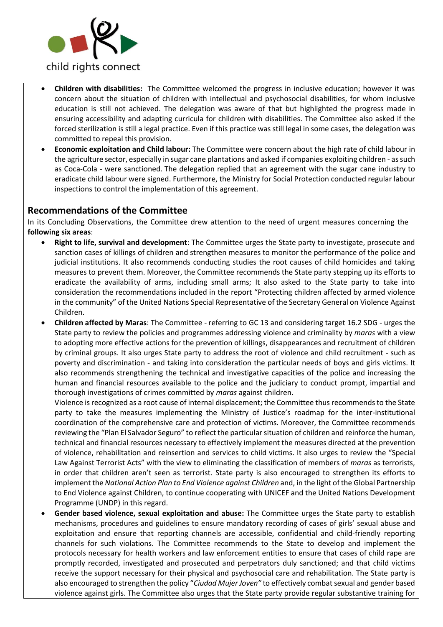

- **Children with disabilities:** The Committee welcomed the progress in inclusive education; however it was concern about the situation of children with intellectual and psychosocial disabilities, for whom inclusive education is still not achieved. The delegation was aware of that but highlighted the progress made in ensuring accessibility and adapting curricula for children with disabilities. The Committee also asked if the forced sterilization is still a legal practice. Even if this practice was still legal in some cases, the delegation was committed to repeal this provision.
- **Economic exploitation and Child labour:** The Committee were concern about the high rate of child labour in the agriculture sector, especially in sugar cane plantations and asked if companies exploiting children - as such as Coca-Cola - were sanctioned. The delegation replied that an agreement with the sugar cane industry to eradicate child labour were signed. Furthermore, the Ministry for Social Protection conducted regular labour inspections to control the implementation of this agreement.

## **Recommendations of the Committee**

In its [Concluding Observations,](http://tbinternet.ohchr.org/_layouts/treatybodyexternal/Download.aspx?symbolno=CRC%2fC%2fLSO%2fCO%2f2&Lang=en) the Committee drew attention to the need of urgent measures concerning the **following six areas**:

- **Right to life, survival and development**: The Committee urges the State party to investigate, prosecute and sanction cases of killings of children and strengthen measures to monitor the performance of the police and judicial institutions. It also recommends conducting studies the root causes of child homicides and taking measures to prevent them. Moreover, the Committee recommends the State party stepping up its efforts to eradicate the availability of arms, including small arms; It also asked to the State party to take into consideration the recommendations included in the report "Protecting children affected by armed violence in the community" of the United Nations Special Representative of the Secretary General on Violence Against Children.
- **Children affected by Maras**: The Committee referring to GC 13 and considering target 16.2 SDG urges the State party to review the policies and programmes addressing violence and criminality by *maras* with a view to adopting more effective actions for the prevention of killings, disappearances and recruitment of children by criminal groups. It also urges State party to address the root of violence and child recruitment - such as poverty and discrimination - and taking into consideration the particular needs of boys and girls victims. It also recommends strengthening the technical and investigative capacities of the police and increasing the human and financial resources available to the police and the judiciary to conduct prompt, impartial and thorough investigations of crimes committed by *maras* against children.

Violence is recognized as a root cause of internal displacement; the Committee thus recommends to the State party to take the measures implementing the Ministry of Justice's roadmap for the inter-institutional coordination of the comprehensive care and protection of victims. Moreover, the Committee recommends reviewing the "Plan El Salvador Seguro" to reflect the particular situation of children and reinforce the human, technical and financial resources necessary to effectively implement the measures directed at the prevention of violence, rehabilitation and reinsertion and services to child victims. It also urges to review the "Special Law Against Terrorist Acts" with the view to eliminating the classification of members of *maras* as terrorists, in order that children aren't seen as terrorist. State party is also encouraged to strengthen its efforts to implement the *National Action Plan to End Violence against Children* and, in the light of the Global Partnership to End Violence against Children, to continue cooperating with UNICEF and the United Nations Development Programme (UNDP) in this regard.

• **Gender based violence, sexual exploitation and abuse:** The Committee urges the State party to establish mechanisms, procedures and guidelines to ensure mandatory recording of cases of girls' sexual abuse and exploitation and ensure that reporting channels are accessible, confidential and child-friendly reporting channels for such violations. The Committee recommends to the State to develop and implement the protocols necessary for health workers and law enforcement entities to ensure that cases of child rape are promptly recorded, investigated and prosecuted and perpetrators duly sanctioned; and that child victims receive the support necessary for their physical and psychosocial care and rehabilitation. The State party is also encouraged to strengthen the policy "*Ciudad Mujer Joven"* to effectively combat sexual and gender based violence against girls. The Committee also urges that the State party provide regular substantive training for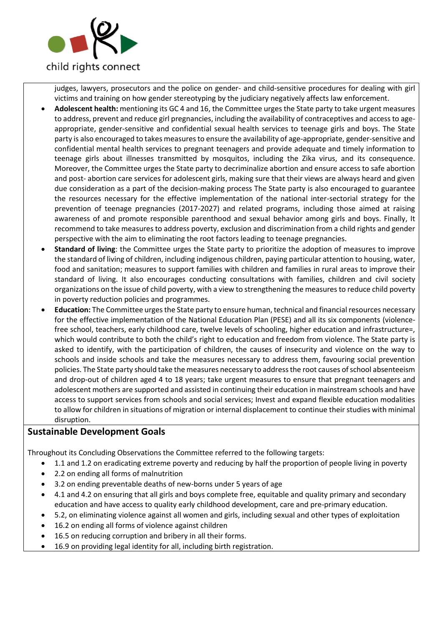

judges, lawyers, prosecutors and the police on gender- and child-sensitive procedures for dealing with girl victims and training on how gender stereotyping by the judiciary negatively affects law enforcement.

- **Adolescent health:** mentioning its GC 4 and 16, the Committee urges the State party to take urgent measures to address, prevent and reduce girl pregnancies, including the availability of contraceptives and access to ageappropriate, gender-sensitive and confidential sexual health services to teenage girls and boys. The State party is also encouraged to takes measures to ensure the availability of age-appropriate, gender-sensitive and confidential mental health services to pregnant teenagers and provide adequate and timely information to teenage girls about illnesses transmitted by mosquitos, including the Zika virus, and its consequence. Moreover, the Committee urges the State party to decriminalize abortion and ensure access to safe abortion and post- abortion care services for adolescent girls, making sure that their views are always heard and given due consideration as a part of the decision-making process The State party is also encouraged to guarantee the resources necessary for the effective implementation of the national inter-sectorial strategy for the prevention of teenage pregnancies (2017-2027) and related programs, including those aimed at raising awareness of and promote responsible parenthood and sexual behavior among girls and boys. Finally, It recommend to take measures to address poverty, exclusion and discrimination from a child rights and gender perspective with the aim to eliminating the root factors leading to teenage pregnancies.
- **Standard of living**: the Committee urges the State party to prioritize the adoption of measures to improve the standard of living of children, including indigenous children, paying particular attention to housing, water, food and sanitation; measures to support families with children and families in rural areas to improve their standard of living. It also encourages conducting consultations with families, children and civil society organizations on the issue of child poverty, with a view to strengthening the measures to reduce child poverty in poverty reduction policies and programmes.
- **Education:** The Committee urges the State party to ensure human, technical and financial resources necessary for the effective implementation of the National Education Plan (PESE) and all its six components (violencefree school, teachers, early childhood care, twelve levels of schooling, higher education and infrastructure=, which would contribute to both the child's right to education and freedom from violence. The State party is asked to identify, with the participation of children, the causes of insecurity and violence on the way to schools and inside schools and take the measures necessary to address them, favouring social prevention policies. The State party should take the measures necessary to address the root causes of school absenteeism and drop-out of children aged 4 to 18 years; take urgent measures to ensure that pregnant teenagers and adolescent mothers are supported and assisted in continuing their education in mainstream schools and have access to support services from schools and social services; Invest and expand flexible education modalities to allow for children in situations of migration or internal displacement to continue their studies with minimal disruption.

## **Sustainable Development Goals**

Throughout its Concluding Observations the Committee referred to the following targets:

- 1.1 and 1.2 on eradicating extreme poverty and reducing by half the proportion of people living in poverty
- 2.2 on ending all forms of malnutrition
- 3.2 on ending preventable deaths of new-borns under 5 years of age
- 4.1 and 4.2 on ensuring that all girls and boys complete free, equitable and quality primary and secondary education and have access to quality early childhood development, care and pre-primary education.
- 5.2, on eliminating violence against all women and girls, including sexual and other types of exploitation
- 16.2 on ending all forms of violence against children
- 16.5 on reducing corruption and bribery in all their forms.
- 16.9 on providing legal identity for all, including birth registration.